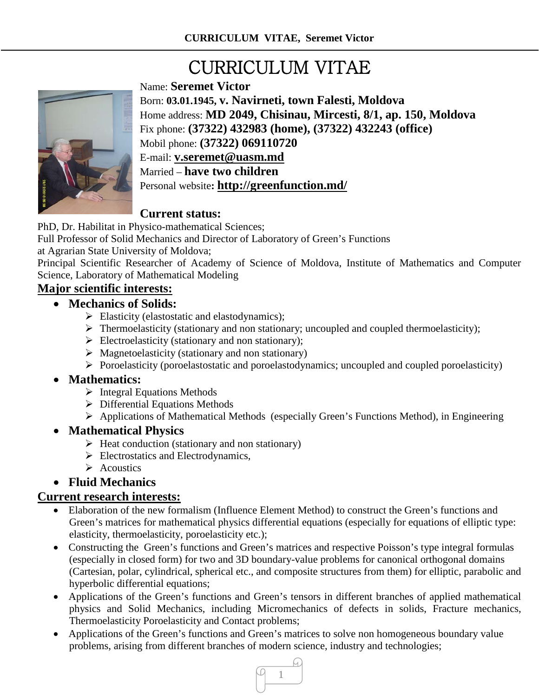# CURRICULUM VITAE



Name: **Seremet Victor** Born: **03.01.1945, v. Navirneti, town Falesti, Moldova** Home address: **MD 2049, Chisinau, Mircesti, 8/1, ap. 150, Moldova** Fix phone: **(37322) 432983 (home), (37322) 432243 (office)** Mobil phone: **(37322) 069110720** E-mail: **[v.seremet@uasm.md](mailto:v.seremet@uasm.md)** Married – **have two children** Personal website**:<http://greenfunction.md/>**

## **Current status:**

PhD, Dr. Habilitat in Physico-mathematical Sciences;

Full Professor of Solid Mechanics and Director of Laboratory of Green's Functions

at Agrarian State University of Moldova;

Principal Scientific Researcher of Academy of Science of Moldova, Institute of Mathematics and Computer Science, Laboratory of Mathematical Modeling

## **Major scientific interests:**

#### • **Mechanics of Solids:**

- $\triangleright$  Elasticity (elastostatic and elastodynamics);
- $\triangleright$  Thermoelasticity (stationary and non stationary; uncoupled and coupled thermoelasticity);
- $\triangleright$  Electroelasticity (stationary and non stationary);
- $\triangleright$  Magnetoelasticity (stationary and non stationary)
- $\triangleright$  Poroelasticity (poroelastostatic and poroelastodynamics; uncoupled and coupled poroelasticity)

#### • **Mathematics:**

- $\triangleright$  Integral Equations Methods
- $\triangleright$  Differential Equations Methods
- Applications of Mathematical Methods (especially Green's Functions Method), in Engineering

#### • **Mathematical Physics**

- $\triangleright$  Heat conduction (stationary and non stationary)
- $\triangleright$  Electrostatics and Electrodynamics,
- $\triangleright$  Acoustics

#### • **Fluid Mechanics**

#### **Current research interests:**

- Elaboration of the new formalism (Influence Element Method) to construct the Green's functions and Green's matrices for mathematical physics differential equations (especially for equations of elliptic type: elasticity, thermoelasticity, poroelasticity etc.);
- Constructing the Green's functions and Green's matrices and respective Poisson's type integral formulas (especially in closed form) for two and 3D boundary-value problems for canonical orthogonal domains (Cartesian, polar, cylindrical, spherical etc., and composite structures from them) for elliptic, parabolic and hyperbolic differential equations;
- Applications of the Green's functions and Green's tensors in different branches of applied mathematical physics and Solid Mechanics, including Micromechanics of defects in solids, Fracture mechanics, Thermoelasticity Poroelasticity and Contact problems;
- Applications of the Green's functions and Green's matrices to solve non homogeneous boundary value problems, arising from different branches of modern science, industry and technologies;

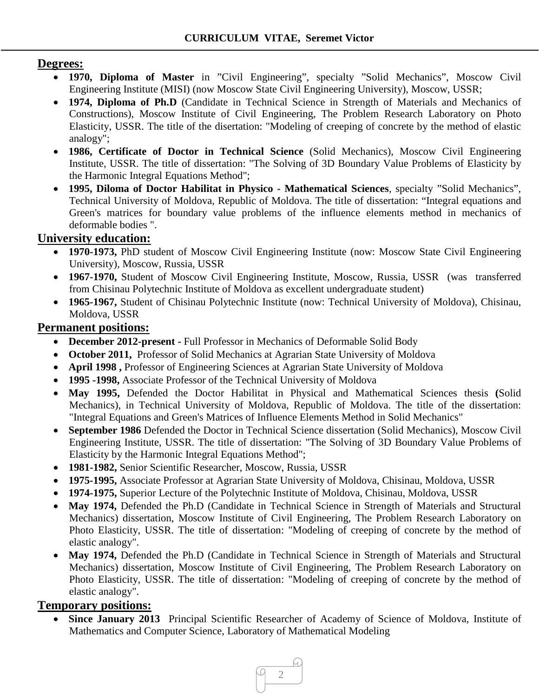#### **Degrees:**

- **1970, Diploma of Master** in "Civil Engineering", specialty "Solid Mechanics", Moscow Civil Engineering Institute (MISI) (now Moscow State Civil Engineering University), Moscow, USSR;
- **1974, Diploma of Ph.D** (Candidate in Technical Science in Strength of Materials and Mechanics of Constructions), Moscow Institute of Civil Engineering, The Problem Research Laboratory on Photo Elasticity, USSR. The title of the disertation: "Modeling of creeping of concrete by the method of elastic analogy";
- **1986, Certificate of Doctor in Technical Science** (Solid Mechanics), Moscow Civil Engineering Institute, USSR. The title of dissertation: "The Solving of 3D Boundary Value Problems of Elasticity by the Harmonic Integral Equations Method";
- **1995, Diloma of Doctor Habilitat in Physico - Mathematical Sciences**, specialty "Solid Mechanics", Technical University of Moldova, Republic of Moldova. The title of dissertation: "Integral equations and Green's matrices for boundary value problems of the influence elements method in mechanics of deformable bodies ".

## **University education:**

- **1970-1973,** PhD student of Moscow Civil Engineering Institute (now: Moscow State Civil Engineering University), Moscow, Russia, USSR
- **1967-1970,** Student of Moscow Civil Engineering Institute, Moscow, Russia, USSR (was transferred from Chisinau Polytechnic Institute of Moldova as excellent undergraduate student)
- **1965-1967,** Student of Chisinau Polytechnic Institute (now: Technical University of Moldova), Chisinau, Moldova, USSR

#### **Permanent positions:**

- **December 2012-present -** Full Professor in Mechanics of Deformable Solid Body
- **October 2011,** Professor of Solid Mechanics at Agrarian State University of Moldova
- **April 1998 ,** Professor of Engineering Sciences at Agrarian State University of Moldova
- **1995 -1998,** Associate Professor of the Technical University of Moldova
- **May 1995,** Defended the Doctor Habilitat in Physical and Mathematical Sciences thesis **(**Solid Mechanics), in Technical University of Moldova, Republic of Moldova. The title of the dissertation: "Integral Equations and Green's Matrices of Influence Elements Method in Solid Mechanics"
- **September 1986** Defended the Doctor in Technical Science dissertation (Solid Mechanics), Moscow Civil Engineering Institute, USSR. The title of dissertation: "The Solving of 3D Boundary Value Problems of Elasticity by the Harmonic Integral Equations Method";
- **1981-1982,** Senior Scientific Researcher, Moscow, Russia, USSR
- **1975-1995,** Associate Professor at Agrarian State University of Moldova, Chisinau, Moldova, USSR
- **1974-1975,** Superior Lecture of the Polytechnic Institute of Moldova, Chisinau, Moldova, USSR
- May 1974, Defended the Ph.D (Candidate in Technical Science in Strength of Materials and Structural Mechanics) dissertation, Moscow Institute of Civil Engineering, The Problem Research Laboratory on Photo Elasticity, USSR. The title of dissertation: "Modeling of creeping of concrete by the method of elastic analogy".
- May 1974, Defended the Ph.D (Candidate in Technical Science in Strength of Materials and Structural Mechanics) dissertation, Moscow Institute of Civil Engineering, The Problem Research Laboratory on Photo Elasticity, USSR. The title of dissertation: "Modeling of creeping of concrete by the method of elastic analogy".

#### **Temporary positions:**

• **Since January 2013** Principal Scientific Researcher of Academy of Science of Moldova, Institute of Mathematics and Computer Science, Laboratory of Mathematical Modeling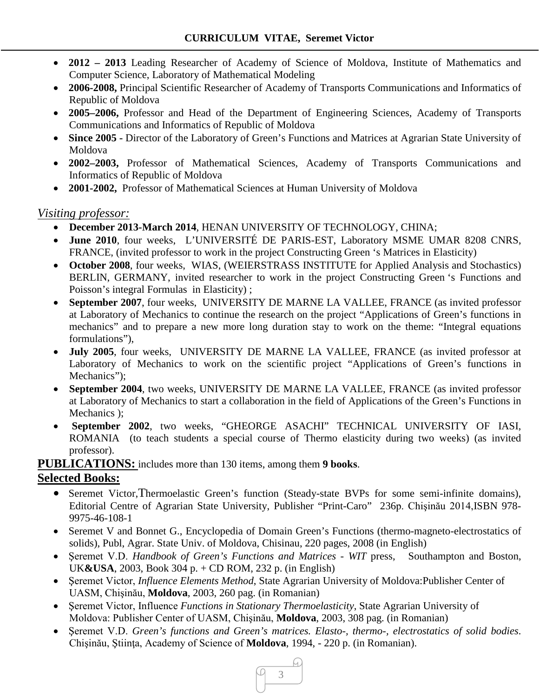- **2012 – 2013** Leading Researcher of Academy of Science of Moldova, Institute of Mathematics and Computer Science, Laboratory of Mathematical Modeling
- **2006-2008,** Principal Scientific Researcher of Academy of Transports Communications and Informatics of Republic of Moldova
- **2005–2006,** Professor and Head of the Department of Engineering Sciences, Academy of Transports Communications and Informatics of Republic of Moldova
- **Since 2005 -** Director of the Laboratory of Green's Functions and Matrices at Agrarian State University of Moldova
- **2002–2003,** Professor of Mathematical Sciences, Academy of Transports Communications and Informatics of Republic of Moldova
- **2001-2002,** Professor of Mathematical Sciences at Human University of Moldova

#### *Visiting professor:*

- **December 2013-March 2014**, HENAN UNIVERSITY OF TECHNOLOGY, CHINA;
- **June 2010**, four weeks, L'UNIVERSITÉ DE PARIS-EST, Laboratory MSME UMAR 8208 CNRS, FRANCE, (invited professor to work in the project Constructing Green 's Matrices in Elasticity)
- **October 2008**, four weeks, WIAS, (WEIERSTRASS INSTITUTE for Applied Analysis and Stochastics) BERLIN, GERMANY, invited researcher to work in the project Constructing Green 's Functions and Poisson's integral Formulas in Elasticity) ;
- **September 2007**, four weeks, UNIVERSITY DE MARNE LA VALLEE, FRANCE (as invited professor at Laboratory of Mechanics to continue the research on the project "Applications of Green's functions in mechanics" and to prepare a new more long duration stay to work on the theme: "Integral equations formulations"),
- **July 2005**, four weeks, UNIVERSITY DE MARNE LA VALLEE, FRANCE (as invited professor at Laboratory of Mechanics to work on the scientific project "Applications of Green's functions in Mechanics");
- **September 2004**, two weeks, UNIVERSITY DE MARNE LA VALLEE, FRANCE (as invited professor at Laboratory of Mechanics to start a collaboration in the field of Applications of the Green's Functions in Mechanics );
- **September 2002**, two weeks, "GHEORGE ASACHI" TECHNICAL UNIVERSITY OF IASI, ROMANIA (to teach students a special course of Thermo elasticity during two weeks) (as invited professor).

#### **PUBLICATIONS:** includes more than 130 items, among them **9 books**.

#### **Selected Books:**

- Seremet Victor,Thermoelastic Green's function (Steady-state BVPs for some semi-infinite domains), Editorial Centre of Agrarian State University, Publisher "Print-Caro" 236p. Chişinău 2014,ISBN 978- 9975-46-108-1
- Seremet V and Bonnet G., Encyclopedia of Domain Green's Functions (thermo-magneto-electrostatics of solids), Publ, Agrar. State Univ. of Moldova, Chisinau, 220 pages, 2008 (in English)
- Şeremet V.D. *Handbook of Green's Functions and Matrices - WIT* press, Southampton and Boston, UK**&USA**, 2003, Book 304 p. + CD ROM, 232 p. (in English)
- Şeremet Victor, *Influence Elements Method*, State Agrarian University of Moldova:Publisher Center of UASM, Chişinău, **Moldova**, 2003, 260 pag. (in Romanian)
- Şeremet Victor, Influence *Functions in Stationary Thermoelasticity*, State Agrarian University of Moldova: Publisher Center of UASM, Chişinău, **Moldova**, 2003, 308 pag. (in Romanian)
- Şeremet V.D. *Green's functions and Green's matrices. Elasto-, thermo-, electrostatics of solid bodies*. Chişinău, Ştiinţa, Academy of Science of **Moldova**, 1994, - 220 p. (in Romanian).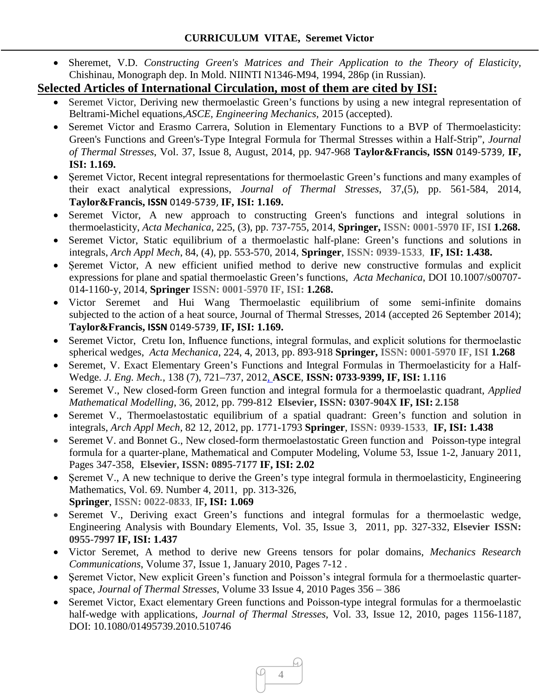• Sheremet, V.D. *Constructing Green's Matrices and Their Application to the Theory of Elasticity*, Chishinau, Monograph dep. In Mold. NIINTI N1346-M94, 1994, 286p (in Russian).

## **Selected Articles of International Circulation, most of them are cited by ISI:**

- Seremet Victor, Deriving new thermoelastic Green's functions by using a new integral representation of Beltrami-Michel equations,*ASCE, Engineering Mechanics,* 2015 (accepted).
- Seremet Victor and Erasmo Carrera, Solution in Elementary Functions to a BVP of Thermoelasticity: Green's Functions and Green's-Type Integral Formula for Thermal Stresses within a Half-Strip", *Journal of Thermal Stresses*, Vol. 37, Issue 8, August, 2014, pp. 947-968 **Taylor&Francis, ISSN** 0149-5739, **IF, ISI: 1.169.**
- Seremet Victor, Recent integral representations for thermoelastic Green's functions and many examples of their exact analytical expressions, *Journal of Thermal Stresses*, 37,(5), pp. 561-584, 2014, **Taylor&Francis, ISSN** 0149-5739, **IF, ISI: 1.169.**
- Seremet Victor, A new approach to constructing Green's functions and integral solutions in thermoelasticity, *Acta Mechanica*, 225, (3), pp. 737-755, 2014, **Springer, ISSN: 0001-5970 IF, ISI 1.268.**
- Seremet Victor, Static equilibrium of a thermoelastic half-plane: Green's functions and solutions in integrals, *Arch Appl Mech*, 84, (4), pp. 553-570, 2014, **Springer**, **ISSN: 0939-1533**, **IF, ISI: 1.438.**
- Șeremet Victor, A new efficient unified method to derive new constructive formulas and explicit expressions for plane and spatial thermoelastic Green's functions, *Acta Mechanica*, DOI 10.1007/s00707- 014-1160-y, 2014, **Springer ISSN: 0001-5970 IF, ISI: 1.268.**
- Victor Seremet and Hui Wang Thermoelastic equilibrium of some semi-infinite domains subjected to the action of a heat source, Journal of Thermal Stresses, 2014 (accepted 26 September 2014); **Taylor&Francis, ISSN** 0149-5739, **IF, ISI: 1.169.**
- Seremet Victor, Cretu Ion, Influence functions, integral formulas, and explicit solutions for thermoelastic spherical wedges, *Acta Mechanica*, 224, 4, 2013, pp. 893-918 **Springer, ISSN: 0001-5970 IF, ISI 1.268**
- Seremet, V. Exact Elementary Green's Functions and Integral Formulas in Thermoelasticity for a Half-Wedge. *J. Eng. Mech.*, 138 (7), 721–737, 2012, **ASCE**, **ISSN: 0733-9399, IF, ISI: 1.116**
- Seremet V., New closed-form Green function and integral formula for a thermoelastic quadrant, *Applied Mathematical Modelling*, 36, 2012, pp. 799-812 **Elsevier, ISSN: 0307-904X IF, ISI: 2.158**
- Seremet V., Thermoelastostatic equilibrium of a spatial quadrant: Green's function and solution in integrals, *Arch Appl Mech,* 82 12, 2012, pp. 1771-1793 **Springer**, **ISSN: 0939-1533**, **IF, ISI: 1.438**
- Seremet V. and Bonnet G., New closed-form thermoelastostatic Green function and Poisson-type integral formula for a quarter-plane, Mathematical and Computer Modeling, Volume 53, Issue 1-2, January 2011, Pages 347-358, **Elsevier, ISSN: 0895-7177 IF, ISI: 2.02**
- Seremet V., A new technique to derive the Green's type integral formula in thermoelasticity, Engineering Mathematics, Vol. 69. Number 4, 2011, pp. 313-326,  **Springer**, **ISSN: 0022-0833**, IF**, ISI: 1.069**
- Seremet V., Deriving exact Green's functions and integral formulas for a thermoelastic wedge, Engineering Analysis with Boundary Elements, Vol. 35, Issue 3, 2011, pp. 327-332, **Elsevier ISSN: 0955-7997 IF, ISI: 1.437**
- Victor Seremet, A method to derive new Greens tensors for polar domains, *Mechanics Research Communications*, Volume 37, Issue 1, January 2010, Pages 7-12 .
- Şeremet Victor, New explicit Green's function and Poisson's integral formula for a thermoelastic quarterspace, *Journal of Thermal Stresses*, Volume 33 Issue 4, 2010 Pages 356 – 386
- Seremet Victor, Exact elementary Green functions and Poisson-type integral formulas for a thermoelastic half-wedge with applications, *Journal of Thermal Stresses*, Vol. 33, Issue 12, 2010, pages 1156-1187, DOI: 10.1080/01495739.2010.510746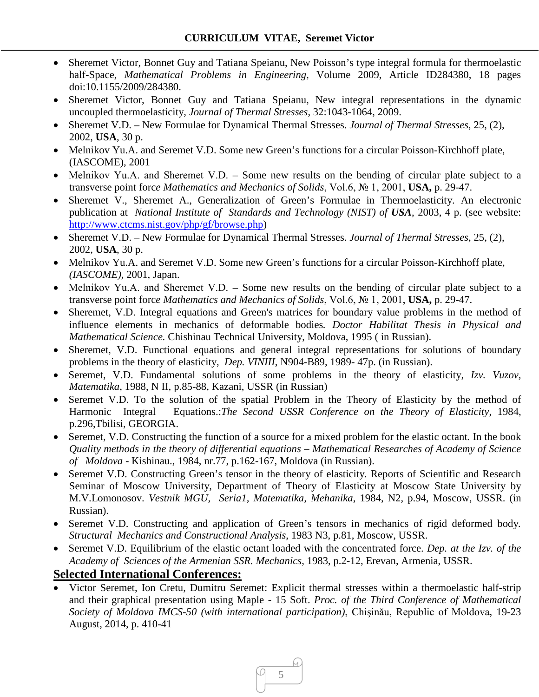- Sheremet Victor, Bonnet Guy and Tatiana Speianu, New Poisson's type integral formula for thermoelastic half-Space, *Mathematical Problems in Engineering*, Volume 2009, Article ID284380, 18 pages doi:10.1155/2009/284380.
- Sheremet Victor, Bonnet Guy and Tatiana Speianu, New integral representations in the dynamic uncoupled thermoelasticity, *Journal of Thermal Stresses*, 32:1043-1064, 2009.
- Sheremet V.D. New Formulae for Dynamical Thermal Stresses. *Journal of Thermal Stresses*, 25, (2), 2002, **USA**, 30 p.
- Melnikov Yu.A. and Seremet V.D. Some new Green's functions for a circular Poisson-Kirchhoff plate, (IASCOME), 2001
- Melnikov Yu.A. and Sheremet V.D. Some new results on the bending of circular plate subject to a transverse point forc*e Mathematics and Mechanics of Solids*, Vol.6, № 1, 2001, **USA,** p. 29-47.
- Sheremet V., Sheremet A., Generalization of Green's Formulae in Thermoelasticity. An electronic publication at *National Institute of Standards and Technology (NIST) of USA*, 2003, 4 p. (see website: [http://www.ctcms.nist.gov/php/gf/browse.php\)](http://www.ctcms.nist.gov/php/gf/browse.php)
- Sheremet V.D. New Formulae for Dynamical Thermal Stresses. *Journal of Thermal Stresses*, 25, (2), 2002, **USA**, 30 p.
- Melnikov Yu.A. and Seremet V.D. Some new Green's functions for a circular Poisson-Kirchhoff plate, *(IASCOME),* 2001, Japan.
- Melnikov Yu.A. and Sheremet V.D. Some new results on the bending of circular plate subject to a transverse point forc*e Mathematics and Mechanics of Solids*, Vol.6, № 1, 2001, **USA,** p. 29-47.
- Sheremet, V.D. Integral equations and Green's matrices for boundary value problems in the method of influence elements in mechanics of deformable bodies*. Doctor Habilitat Thesis in Physical and Mathematical Science.* Chishinau Technical University, Moldova, 1995 ( in Russian).
- Sheremet, V.D. Functional equations and general integral representations for solutions of boundary problems in the theory of elasticity, *Dep. VINIII*, N904-B89, 1989- 47p. (in Russian).
- Seremet, V.D. Fundamental solutions of some problems in the theory of elasticity, *Izv. Vuzov, Matematika*, 1988, N II, p.85-88, Kazani, USSR (in Russian)
- Seremet V.D. To the solution of the spatial Problem in the Theory of Elasticity by the method of Harmonic Integral Equations.:*The Second USSR Conference on the Theory of Elasticity*, 1984, p.296,Tbilisi, GEORGIA.
- Seremet, V.D. Constructing the function of a source for a mixed problem for the elastic octant. In the book *Quality methods in the theory of differential equations – Mathematical Researches of Academy of Science of Moldova* - Kishinau., 1984, nr.77, p.162-167, Moldova (in Russian).
- Seremet V.D. Constructing Green's tensor in the theory of elasticity*.* Reports of Scientific and Research Seminar of Moscow University, Department of Theory of Elasticity at Moscow State University by M.V.Lomonosov. *Vestnik MGU, Seria1, Matematika, Mehanika*, 1984, N2, p.94, Moscow, USSR. (in Russian).
- Seremet V.D. Constructing and application of Green's tensors in mechanics of rigid deformed body*. Structural Mechanics and Constructional Analysis*, 1983 N3, p.81, Moscow, USSR.
- Seremet V.D. Equilibrium of the elastic octant loaded with the concentrated force. *Dep. at the Izv. of the Academy of Sciences of the Armenian SSR. Mechanics*, 1983, p.2-12, Erevan, Armenia, USSR.

#### **Selected International Conferences:**

• Victor Seremet, Ion Cretu, Dumitru Seremet: Explicit thermal stresses within a thermoelastic half-strip and their graphical presentation using Maple - 15 Soft. *Proc. of the Third Conference of Mathematical Society of Moldova IMCS-50 (with international participation)*, Chişinău, Republic of Moldova, 19-23 August, 2014, p. 410-41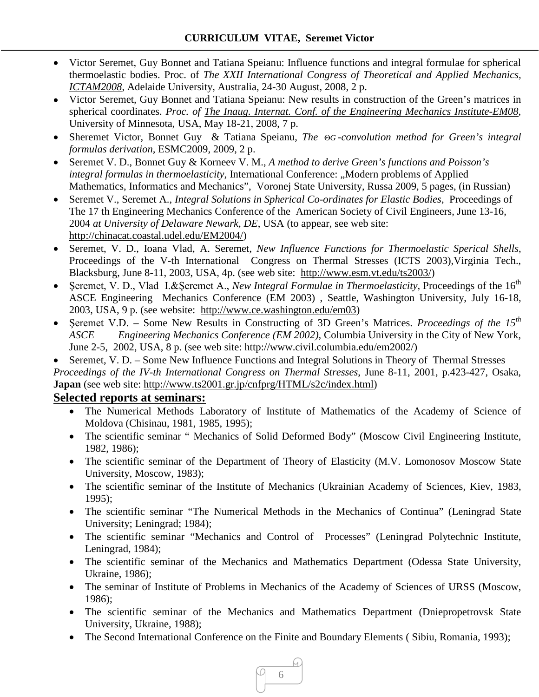- Victor Seremet, Guy Bonnet and Tatiana Speianu: Influence functions and integral formulae for spherical thermoelastic bodies. Proc. of *The XXII International Congress of Theoretical and Applied Mechanics, [ICTAM2008](http://ictam2008.adelaide.edu.au/index.php)*, Adelaide University, Australia, 24-30 August, 2008, 2 p.
- Victor Seremet, Guy Bonnet and Tatiana Speianu: New results in construction of the Green's matrices in spherical coordinates. *Proc. of [The Inaug. Internat. Conf. of the Engineering Mechanics Institute-EM08](http://www.cce.umn.edu/conferences/em08/)*, University of Minnesota, USA, May 18-21, 2008, 7 p.
- Sheremet Victor, Bonnet Guy & Tatiana Speianu, *The* Θ*G -convolution method for Green's integral formulas derivation,* ESMC2009, 2009, 2 p.
- Seremet V. D., Bonnet Guy & Korneev V. M., *A method to derive Green's functions and Poisson's integral formulas in thermoelasticity*, International Conference: "Modern problems of Applied Mathematics, Informatics and Mechanics", Voronej State University, Russa 2009, 5 pages, (in Russian)
- Seremet V., Seremet A., *Integral Solutions in Spherical Co-ordinates for Elastic Bodies*, Proceedings of The 17 th Engineering Mechanics Conference of the American Society of Civil Engineers, June 13-16, 2004 *at University of Delaware Newark, DE*, USA (to appear, see web site: [http://chinacat.coastal.udel.edu/EM2004/\)](http://chinacat.coastal.udel.edu/EM2004/)
- Seremet, V. D., Ioana Vlad, A. Seremet, *New Influence Functions for Thermoelastic Sperical Shells*, Proceedings of the V-th International Congress on Thermal Stresses (ICTS 2003),Virginia Tech., Blacksburg, June 8-11, 2003, USA, 4p. (see web site: [http://www.esm.vt.edu/ts2003/\)](http://www.esm.vt.edu/ts2003/)
- Seremet, V. D., Vlad I.&Seremet A., *New Integral Formulae in Thermoelasticity*, Proceedings of the 16<sup>th</sup> ASCE Engineering Mechanics Conference (EM 2003) , Seattle, Washington University, July 16-18, 2003, USA, 9 p. (see website: [http://www.ce.washington.edu/em03\)](http://www.ce.washington.edu/em03)
- Seremet V.D. Some New Results in Constructing of 3D Green's Matrices. *Proceedings of the 15<sup>th</sup> ASCE Engineering Mechanics Conference (EM 2002)*, Columbia University in the City of New York, June 2-5, 2002, USA, 8 p. (see web site: [http://www.civil.columbia.edu/em2002/\)](http://www.civil.columbia.edu/em2002/)

• Seremet, V. D. – Some New Influence Functions and Integral Solutions in Theory of Thermal Stresses *Proceedings of the IV-th International Congress on Thermal Stresses*, June 8-11, 2001, p.423-427, Osaka, **Japan** (see web site: [http://www.ts2001.gr.jp/cnfprg/HTML/s2c/index.html\)](http://www.ts2001.gr.jp/cnfprg/HTML/s2c/index.html)

#### **Selected reports at seminars:**

- The Numerical Methods Laboratory of Institute of Mathematics of the Academy of Science of Moldova (Chisinau, 1981, 1985, 1995);
- The scientific seminar " Mechanics of Solid Deformed Body" (Moscow Civil Engineering Institute, 1982, 1986);
- The scientific seminar of the Department of Theory of Elasticity (M.V. Lomonosov Moscow State University, Moscow, 1983);
- The scientific seminar of the Institute of Mechanics (Ukrainian Academy of Sciences, Kiev, 1983, 1995);
- The scientific seminar "The Numerical Methods in the Mechanics of Continua" (Leningrad State University; Leningrad; 1984);
- The scientific seminar "Mechanics and Control of Processes" (Leningrad Polytechnic Institute, Leningrad, 1984);
- The scientific seminar of the Mechanics and Mathematics Department (Odessa State University, Ukraine, 1986);
- The seminar of Institute of Problems in Mechanics of the Academy of Sciences of URSS (Moscow, 1986);
- The scientific seminar of the Mechanics and Mathematics Department (Dniepropetrovsk State University, Ukraine, 1988);
- The Second International Conference on the Finite and Boundary Elements ( Sibiu, Romania, 1993);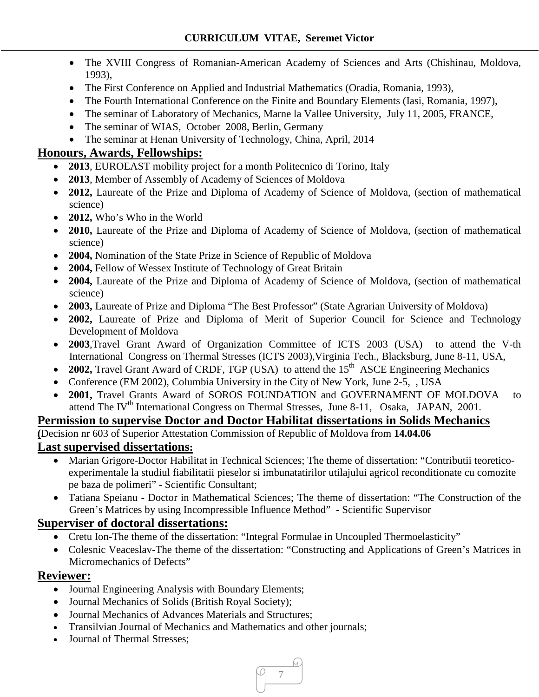- The XVIII Congress of Romanian-American Academy of Sciences and Arts (Chishinau, Moldova, 1993),
- The First Conference on Applied and Industrial Mathematics (Oradia, Romania, 1993),
- The Fourth International Conference on the Finite and Boundary Elements (Iasi, Romania, 1997),
- The seminar of Laboratory of Mechanics, Marne la Vallee University, July 11, 2005, FRANCE,
- The seminar of WIAS, October 2008, Berlin, Germany
- The seminar at Henan University of Technology, China, April, 2014

## **Honours, Awards, Fellowships:**

- **2013**, EUROEAST mobility project for a month Politecnico di Torino, Italy
- **2013**, Member of Assembly of Academy of Sciences of Moldova
- **2012, Laureate of the Prize and Diploma of Academy of Science of Moldova, (section of mathematical** science)
- **2012,** Who's Who in the World
- **2010,** Laureate of the Prize and Diploma of Academy of Science of Moldova, (section of mathematical science)
- **2004,** Nomination of the State Prize in Science of Republic of Moldova
- **2004, Fellow of Wessex Institute of Technology of Great Britain**
- **2004,** Laureate of the Prize and Diploma of Academy of Science of Moldova, (section of mathematical science)
- **2003, Laureate of Prize and Diploma "The Best Professor" (State Agrarian University of Moldova)**
- **2002,** Laureate of Prize and Diploma of Merit of Superior Council for Science and Technology Development of Moldova
- **2003**,Travel Grant Award of Organization Committee of ICTS 2003 (USA) to attend the V-th International Congress on Thermal Stresses (ICTS 2003),Virginia Tech., Blacksburg, June 8-11, USA,
- 2002, Travel Grant Award of CRDF, TGP (USA) to attend the 15<sup>th</sup> ASCE Engineering Mechanics
- Conference (EM 2002), Columbia University in the City of New York, June 2-5, , USA
- 2001, Travel Grants Award of SOROS FOUNDATION and GOVERNAMENT OF MOLDOVA to attend The IV<sup>th</sup> International Congress on Thermal Stresses, June 8-11, Osaka, JAPAN, 2001.

## **Permission to supervise Doctor and Doctor Habilitat dissertations in Solids Mechanics**

**(**Decision nr 603 of Superior Attestation Commission of Republic of Moldova from **14.04.06**

#### **Last supervised dissertations:**

- Marian Grigore-Doctor Habilitat in Technical Sciences; The theme of dissertation: "Contributii teoreticoexperimentale la studiul fiabilitatii pieselor si imbunatatirilor utilajului agricol reconditionate cu comozite pe baza de polimeri" - Scientific Consultant;
- Tatiana Speianu Doctor in Mathematical Sciences; The theme of dissertation: "The Construction of the Green's Matrices by using Incompressible Influence Method" - Scientific Supervisor

## **Superviser of doctoral dissertations:**

- Cretu Ion-The theme of the dissertation: "Integral Formulae in Uncoupled Thermoelasticity"
- Colesnic Veaceslav-The theme of the dissertation: "Constructing and Applications of Green's Matrices in Micromechanics of Defects"

## **Reviewer:**

- Journal Engineering Analysis with Boundary Elements;
- Journal Mechanics of Solids (British Royal Society);
- Journal Mechanics of Advances Materials and Structures;
- Transilvian Journal of Mechanics and Mathematics and other journals;
- Journal of Thermal Stresses: